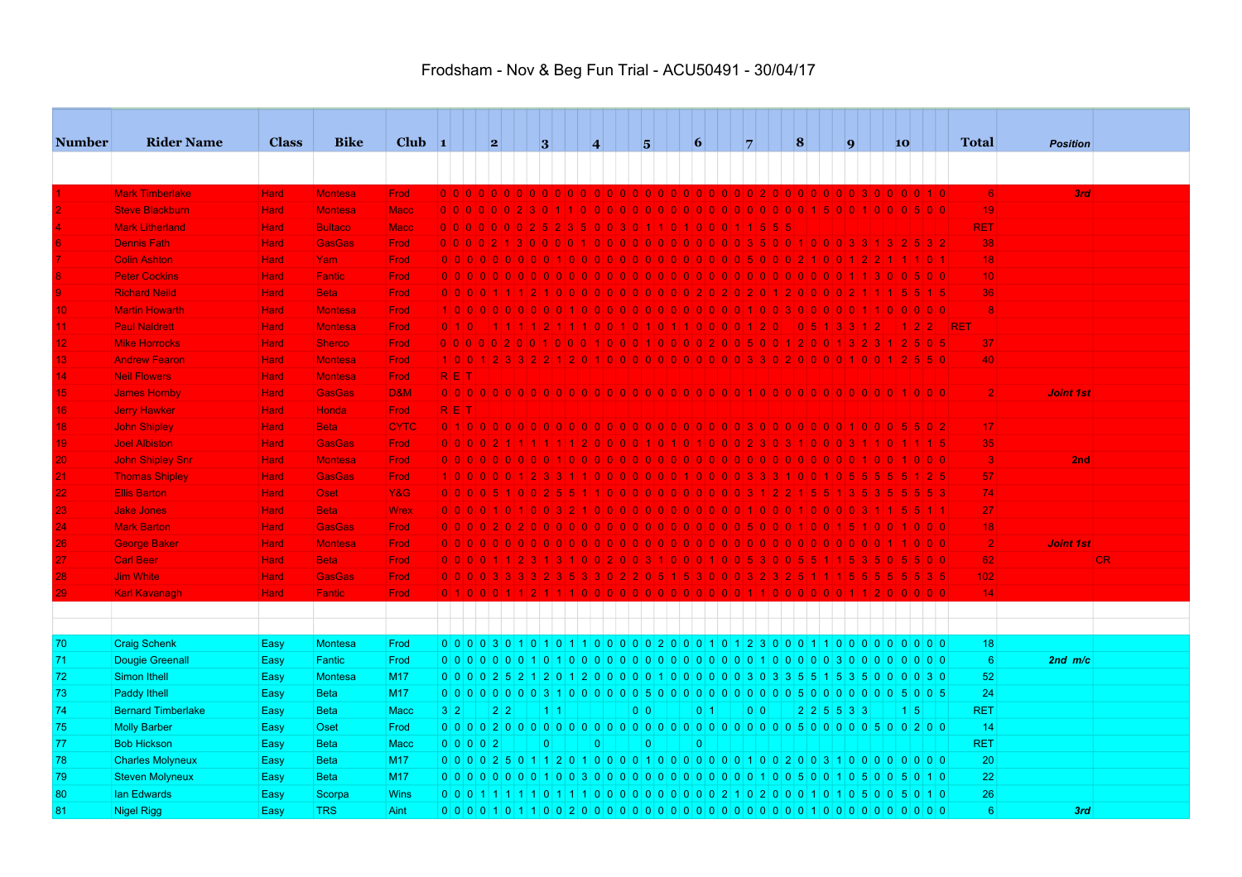| <b>Number</b>   | <b>Rider Name</b>         | <b>Class</b> | <b>Bike</b>    | Club $\vert$ 1 |            |           | 2                                                                                 | 3           | $\vert 4 \vert$ |                | $\overline{\mathbf{5}}$ | $\vert 6 \vert$ | 7 |                   | $\vert 8$               | $\vert \mathbf{q} \vert$ |             | 10              |       |            | <b>Total</b>    | <b>Position</b>  |     |
|-----------------|---------------------------|--------------|----------------|----------------|------------|-----------|-----------------------------------------------------------------------------------|-------------|-----------------|----------------|-------------------------|-----------------|---|-------------------|-------------------------|--------------------------|-------------|-----------------|-------|------------|-----------------|------------------|-----|
|                 |                           |              |                |                |            |           |                                                                                   |             |                 |                |                         |                 |   |                   |                         |                          |             |                 |       |            |                 |                  |     |
|                 |                           |              |                |                |            |           |                                                                                   |             |                 |                |                         |                 |   |                   |                         |                          |             |                 |       |            |                 |                  |     |
|                 | <b>Mark Timberlake</b>    | <b>Hard</b>  | <b>Montesa</b> | Frod           |            |           |                                                                                   |             |                 |                |                         |                 |   |                   |                         |                          |             |                 |       |            | 6               | 3rd              |     |
|                 | <b>Steve Blackburn</b>    | <b>Hard</b>  | <b>Montesa</b> | <b>Macc</b>    |            |           | 0000002301100000000000000000015001000500                                          |             |                 |                |                         |                 |   |                   |                         |                          |             |                 |       |            | 19              |                  |     |
|                 | <b>Mark Litherland</b>    | <b>Hard</b>  | <b>Bultaco</b> | <b>Macc</b>    |            |           | 00000000252350030110100011555                                                     |             |                 |                |                         |                 |   |                   |                         |                          |             |                 |       |            | <b>RET</b>      |                  |     |
|                 | <b>Dennis Fath</b>        | <b>Hard</b>  | <b>GasGas</b>  | Frod           |            |           |                                                                                   |             |                 |                |                         |                 |   |                   |                         |                          |             |                 |       |            | 38              |                  |     |
|                 | <b>Colin Ashton</b>       | <b>Hard</b>  | Yam            | Frod           |            |           |                                                                                   |             |                 |                |                         |                 |   |                   |                         | 1 0 0 1 2 2              |             |                 |       |            | 18              |                  |     |
|                 | <b>Peter Cockins</b>      | <b>Hard</b>  | <b>Fantic</b>  | Frod           |            |           |                                                                                   |             |                 |                |                         |                 |   |                   |                         |                          |             |                 |       |            | 10 <sup>1</sup> |                  |     |
|                 | <b>Richard Neild</b>      | <b>Hard</b>  | <b>Beta</b>    | Frod           |            |           |                                                                                   |             |                 |                |                         |                 |   |                   |                         |                          |             |                 |       |            | 36              |                  |     |
| 10 <sub>1</sub> | <b>Martin Howarth</b>     | <b>Hard</b>  | <b>Montesa</b> | <b>Frod</b>    |            |           |                                                                                   |             |                 |                |                         |                 |   |                   |                         |                          |             |                 |       |            | 8               |                  |     |
| 11.             | <b>Paul Naldrett</b>      | <b>Hard</b>  | <b>Montesa</b> | Frod           |            | 0 1 0     |                                                                                   |             |                 |                |                         |                 |   |                   | 0 5 1 3 3 1 2           |                          |             |                 | 1 2 2 | <b>RET</b> |                 |                  |     |
| 12 <sub>1</sub> | <b>Mike Horrocks</b>      | Hard,        | <b>Sherco</b>  | Frod           |            |           | 0 0 0 0 0 2 0 0 1 0 0 1 0 0 1 0 0 1 0 0 0 2 0 0 5 0 0 1 2 0 0 1 3 2 3 1 2 5 0 5   |             |                 |                |                         |                 |   |                   |                         |                          |             |                 |       |            | 37              |                  |     |
| 13 <sub>1</sub> | <b>Andrew Fearon</b>      | <b>Hard</b>  | <b>Montesa</b> | Frod           |            |           | 10012332212010000000000033020000010012550                                         |             |                 |                |                         |                 |   |                   |                         |                          |             |                 |       |            | 40              |                  |     |
| 14              | <b>Neil Flowers</b>       | <b>Hard</b>  | <b>Montesa</b> | Frod           | <b>RET</b> |           |                                                                                   |             |                 |                |                         |                 |   |                   |                         |                          |             |                 |       |            |                 |                  |     |
| 15              | <b>James Hornby</b>       | <b>Hard</b>  | <b>GasGas</b>  | <b>D&amp;M</b> |            |           |                                                                                   |             |                 |                |                         |                 |   |                   |                         |                          |             |                 |       |            | $\overline{2}$  | <b>Joint 1st</b> |     |
| 16 <sub>1</sub> | <b>Jerry Hawker</b>       | <b>Hard</b>  | <b>Honda</b>   | Frod           | RET        |           |                                                                                   |             |                 |                |                         |                 |   |                   |                         |                          |             |                 |       |            |                 |                  |     |
| 18              | <b>John Shipley</b>       | <b>Hard</b>  | <b>Beta</b>    | <b>CYTC</b>    |            |           |                                                                                   |             |                 |                |                         |                 |   |                   |                         |                          |             |                 |       |            | 17              |                  |     |
| 19              | <b>Joel Albiston</b>      | <b>Hard</b>  | <b>GasGas</b>  | Frod           |            |           |                                                                                   |             |                 |                |                         |                 |   |                   |                         |                          |             |                 |       |            | 35              |                  |     |
| 20              | <b>John Shipley Snr</b>   | <b>Hard</b>  | <b>Montesa</b> | Frod           |            |           | 0000000000100000000000000000000000000                                             |             |                 |                |                         |                 |   |                   |                         |                          |             |                 |       |            | $\vert 3 \vert$ | 2nd              |     |
|                 | <b>Thomas Shipley</b>     | <b>Hard</b>  | <b>GasGas</b>  | Frod           |            |           | 1000001233110000000010000                                                         |             |                 |                |                         |                 |   | - 31              | 0   0                   | 05                       |             |                 |       |            | 57              |                  |     |
| 22              | <b>Ellis Barton</b>       | <b>Hard</b>  | <b>Oset</b>    | <b>Y&amp;G</b> |            |           | 0 0 0 0 5 1 0 0 2 5 5 1 1 0 0 0 0 0 0 0 0 0 0 0 0 3 1 2 2 1 5 5 1 3 5 3 5 5 5 5 3 |             |                 |                |                         |                 |   |                   |                         |                          |             |                 |       |            | 74              |                  |     |
| 23              | <b>Jake Jones</b>         | <b>Hard</b>  | <b>Beta</b>    | <b>Wrex</b>    |            |           | 0 0 0 0 1 0 1 0 0 3 2 1 0 0 0 0 0 0 0 0 0 0 0 0 0 1 0 0 0 1 0 0 0 3 1 1 5 5 1 1   |             |                 |                |                         |                 |   |                   |                         |                          |             |                 |       |            | 27              |                  |     |
| 24              | <b>Mark Barton</b>        | <b>Hard</b>  | <b>GasGas</b>  | Frod           |            |           |                                                                                   |             |                 |                |                         |                 |   |                   |                         |                          |             |                 |       |            | 18              |                  |     |
| 26              | <b>George Baker</b>       | <b>Hard</b>  | <b>Montesa</b> | Frod           |            |           | 0000000000000000000000                                                            |             |                 |                |                         |                 |   | <u>LOLOLOLOLO</u> |                         |                          |             |                 |       |            | $\overline{2}$  | <b>Joint 1st</b> |     |
| 27              | <b>Carl Beer</b>          | <b>Hard</b>  | <b>Beta</b>    | Frod           |            |           | 0 0 0 0 1 1 2 3 1 3 1 0 0 2 0 0 3 1 0 0 0 1 0 0 5 3 0 0 5 5 1 1 5 3 5 0 5 5 0 0   |             |                 |                |                         |                 |   |                   |                         |                          |             |                 |       |            | 62              |                  | CR. |
| 28              | <b>Jim White</b>          | Hard         | <b>GasGas</b>  | Frod           |            |           |                                                                                   |             |                 |                |                         |                 |   |                   |                         |                          |             |                 |       |            | 102             |                  |     |
| 29              | <b>Karl Kavanagh</b>      | <b>Hard</b>  | Fantic         | Frod           |            |           |                                                                                   |             |                 |                |                         |                 |   |                   |                         |                          |             |                 |       |            | 14              |                  |     |
|                 |                           |              |                |                |            |           |                                                                                   |             |                 |                |                         |                 |   |                   |                         |                          |             |                 |       |            |                 |                  |     |
|                 |                           |              |                |                |            |           |                                                                                   |             |                 |                |                         |                 |   |                   |                         |                          |             |                 |       |            |                 |                  |     |
|                 |                           |              | <b>Montesa</b> | Frod           |            |           | 0 0 0 0 3 0 1 0 1 0 1 1 0 0 0 0 0 2 0 0 0 1 0 1 2 3 0 0 0 1 1 0 0 0 0 0 0 0 0 0   |             |                 |                |                         |                 |   |                   |                         |                          |             |                 |       |            | 18              |                  |     |
| 70              | <b>Craig Schenk</b>       | Easy         |                |                |            |           |                                                                                   |             |                 |                |                         |                 |   |                   |                         |                          |             |                 |       |            |                 |                  |     |
| 71              | <b>Dougie Greenall</b>    | Easy         | Fantic         | Frod           |            |           |                                                                                   |             |                 |                |                         |                 |   |                   |                         |                          | 0 0 0 0 0 0 |                 |       |            | $6\phantom{1}6$ | $2nd$ m/c        |     |
| 72              | Simon Ithell              | Easy         | <b>Montesa</b> | M17            |            |           | 0 0 0 0 2 5 2 1 2 0 1 2 0 0 0 0 0 1 0 0 0 0 0 0 0 3 3 5 5 6 7 5 7 6 0 0 0 3 0     |             |                 |                |                         |                 |   |                   |                         |                          |             |                 |       |            | 52              |                  |     |
| 73              | Paddy Ithell              | Easy         | <b>Beta</b>    | M17            |            |           | 000000003100000500000                                                             |             |                 |                |                         |                 |   | 000000            | 500                     |                          | 000005005   |                 |       |            | 24              |                  |     |
| 74              | <b>Bernard Timberlake</b> | Easy         | <b>Beta</b>    | <b>Macc</b>    | 3 2        |           | $2 \mid 2$                                                                        | $1 \vert 1$ |                 | 0 <sup>1</sup> |                         | 0 <sup>1</sup>  |   | 0 <sup>1</sup>    | $2 \ 2 \ 5 \ 5 \ 3 \ 3$ |                          |             | $1\overline{5}$ |       |            | <b>RET</b>      |                  |     |
| 75              | <b>Molly Barber</b>       | Easy         | Oset           | Frod           |            |           |                                                                                   |             |                 |                |                         |                 |   |                   |                         |                          |             |                 |       |            | 14              |                  |     |
| 77              | <b>Bob Hickson</b>        | Easy         | <b>Beta</b>    | <b>Macc</b>    |            | 0 0 0 0 2 |                                                                                   | $\Omega$    | $\Omega$        |                | $\overline{0}$          | $\Omega$        |   |                   |                         |                          |             |                 |       |            | <b>RET</b>      |                  |     |
| 78              | <b>Charles Molyneux</b>   | Easy         | <b>Beta</b>    | M17            |            |           | 0 0 0 0 2 5 0 1 1 2 0 1 0 0 0 0 1 0 0 0 0 0 0 0 0 1 0 0 2 0 0 3 1 0 0 0 0 0 0 0 0 |             |                 |                |                         |                 |   |                   |                         |                          |             |                 |       |            | 20              |                  |     |
| 79              | <b>Steven Molyneux</b>    | Easy         | <b>Beta</b>    | M17            |            |           |                                                                                   |             |                 |                |                         |                 |   |                   |                         |                          |             |                 |       |            | 22              |                  |     |
| 80              | lan Edwards               | Easy         | Scorpa         | <b>Wins</b>    |            |           |                                                                                   |             |                 |                |                         |                 |   |                   |                         |                          |             |                 |       |            | 26              |                  |     |
| 81              | <b>Nigel Rigg</b>         | Easy         | <b>TRS</b>     | Aint           |            |           |                                                                                   |             |                 |                |                         |                 |   |                   |                         |                          |             |                 |       |            | 6               | 3rd              |     |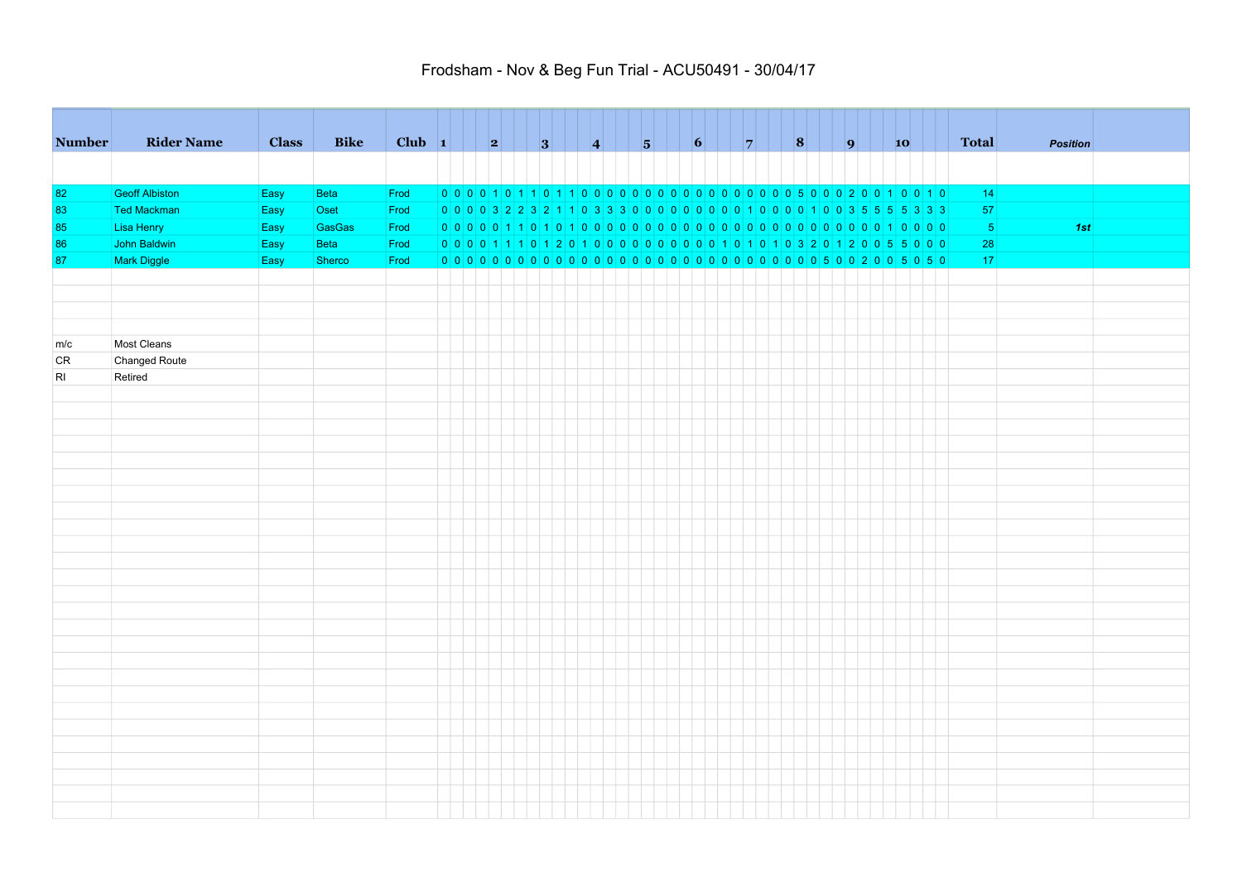| <b>Number</b> | <b>Rider Name</b>     | <b>Class</b> | <b>Bike</b>   | Club $\vert 1 \vert$ | $\vert \vert$ 2 |  | 3 |  |                                                                                     |  | $\vert \vert$ 6 |  |  |  | 9 | $\vert$ 10 |  | <b>Total</b> | <b>Position</b> |  |
|---------------|-----------------------|--------------|---------------|----------------------|-----------------|--|---|--|-------------------------------------------------------------------------------------|--|-----------------|--|--|--|---|------------|--|--------------|-----------------|--|
|               |                       |              |               |                      |                 |  |   |  |                                                                                     |  |                 |  |  |  |   |            |  |              |                 |  |
|               |                       |              |               |                      |                 |  |   |  |                                                                                     |  |                 |  |  |  |   |            |  |              |                 |  |
| 82            | <b>Geoff Albiston</b> | Easy         | Beta          | Frod                 |                 |  |   |  |                                                                                     |  |                 |  |  |  |   |            |  | 14           |                 |  |
| 83            | <b>Ted Mackman</b>    | Easy         | Oset          | Frod                 |                 |  |   |  | 0 0 0 0 3 2 2 3 2 1 1 0 3 3 3 0 0 0 0 0 0 0 0 0 0 0 1 0 0 0 1 0 0 3 5 5 5 5 5 3 3 3 |  |                 |  |  |  |   |            |  | 57           |                 |  |
| 85            | Lisa Henry            | Easy         | <b>GasGas</b> | Frod                 |                 |  |   |  |                                                                                     |  |                 |  |  |  |   |            |  | $-5$         | 1st             |  |
| 86            | John Baldwin          | Easy         | <b>Beta</b>   | Frod                 |                 |  |   |  |                                                                                     |  |                 |  |  |  |   |            |  | 28           |                 |  |
| 87            | Mark Diggle           | Easy         | Sherco        | Frod                 |                 |  |   |  |                                                                                     |  |                 |  |  |  |   |            |  | 17           |                 |  |
|               |                       |              |               |                      |                 |  |   |  |                                                                                     |  |                 |  |  |  |   |            |  |              |                 |  |
|               |                       |              |               |                      |                 |  |   |  |                                                                                     |  |                 |  |  |  |   |            |  |              |                 |  |
|               |                       |              |               |                      |                 |  |   |  |                                                                                     |  |                 |  |  |  |   |            |  |              |                 |  |
|               |                       |              |               |                      |                 |  |   |  |                                                                                     |  |                 |  |  |  |   |            |  |              |                 |  |
| m/c           | Most Cleans           |              |               |                      |                 |  |   |  |                                                                                     |  |                 |  |  |  |   |            |  |              |                 |  |
| <b>CR</b>     | Changed Route         |              |               |                      |                 |  |   |  |                                                                                     |  |                 |  |  |  |   |            |  |              |                 |  |
| RI            | Retired               |              |               |                      |                 |  |   |  |                                                                                     |  |                 |  |  |  |   |            |  |              |                 |  |
|               |                       |              |               |                      |                 |  |   |  |                                                                                     |  |                 |  |  |  |   |            |  |              |                 |  |
|               |                       |              |               |                      |                 |  |   |  |                                                                                     |  |                 |  |  |  |   |            |  |              |                 |  |
|               |                       |              |               |                      |                 |  |   |  |                                                                                     |  |                 |  |  |  |   |            |  |              |                 |  |
|               |                       |              |               |                      |                 |  |   |  |                                                                                     |  |                 |  |  |  |   |            |  |              |                 |  |
|               |                       |              |               |                      |                 |  |   |  |                                                                                     |  |                 |  |  |  |   |            |  |              |                 |  |
|               |                       |              |               |                      |                 |  |   |  |                                                                                     |  |                 |  |  |  |   |            |  |              |                 |  |
|               |                       |              |               |                      |                 |  |   |  |                                                                                     |  |                 |  |  |  |   |            |  |              |                 |  |
|               |                       |              |               |                      |                 |  |   |  |                                                                                     |  |                 |  |  |  |   |            |  |              |                 |  |
|               |                       |              |               |                      |                 |  |   |  |                                                                                     |  |                 |  |  |  |   |            |  |              |                 |  |
|               |                       |              |               |                      |                 |  |   |  |                                                                                     |  |                 |  |  |  |   |            |  |              |                 |  |
|               |                       |              |               |                      |                 |  |   |  |                                                                                     |  |                 |  |  |  |   |            |  |              |                 |  |
|               |                       |              |               |                      |                 |  |   |  |                                                                                     |  |                 |  |  |  |   |            |  |              |                 |  |
|               |                       |              |               |                      |                 |  |   |  |                                                                                     |  |                 |  |  |  |   |            |  |              |                 |  |
|               |                       |              |               |                      |                 |  |   |  |                                                                                     |  |                 |  |  |  |   |            |  |              |                 |  |
|               |                       |              |               |                      |                 |  |   |  |                                                                                     |  |                 |  |  |  |   |            |  |              |                 |  |
|               |                       |              |               |                      |                 |  |   |  |                                                                                     |  |                 |  |  |  |   |            |  |              |                 |  |
|               |                       |              |               |                      |                 |  |   |  |                                                                                     |  |                 |  |  |  |   |            |  |              |                 |  |
|               |                       |              |               |                      |                 |  |   |  |                                                                                     |  |                 |  |  |  |   |            |  |              |                 |  |
|               |                       |              |               |                      |                 |  |   |  |                                                                                     |  |                 |  |  |  |   |            |  |              |                 |  |
|               |                       |              |               |                      |                 |  |   |  |                                                                                     |  |                 |  |  |  |   |            |  |              |                 |  |
|               |                       |              |               |                      |                 |  |   |  |                                                                                     |  |                 |  |  |  |   |            |  |              |                 |  |
|               |                       |              |               |                      |                 |  |   |  |                                                                                     |  |                 |  |  |  |   |            |  |              |                 |  |
|               |                       |              |               |                      |                 |  |   |  |                                                                                     |  |                 |  |  |  |   |            |  |              |                 |  |
|               |                       |              |               |                      |                 |  |   |  |                                                                                     |  |                 |  |  |  |   |            |  |              |                 |  |
|               |                       |              |               |                      |                 |  |   |  |                                                                                     |  |                 |  |  |  |   |            |  |              |                 |  |
|               |                       |              |               |                      |                 |  |   |  |                                                                                     |  |                 |  |  |  |   |            |  |              |                 |  |